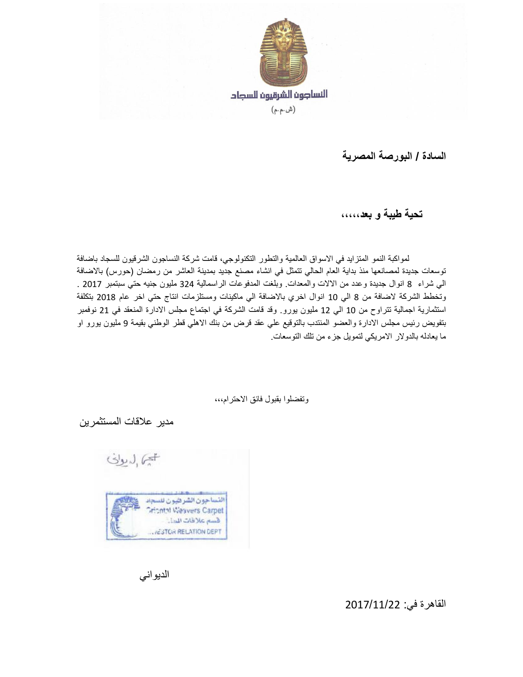

**السادة / البورصة المصرية**

 **تحية طيبة و بعد،،،،،** 

لمواكبة النمو المتزايد في الاسواق العالمية والتطور التكنولوجي، قامت شركة النساجون الشرقيون للسجاد باضافة توسعات جديدة لمصانعها منذ بداية العام الحالي تتمثل في انشاء مصنع جديد بمدينة العاشر من رمضان (حورس) بالاضافة الي شراء 8 انوال جديدة وعدد من االالت والمعدات. وبلغت المدفوعات الراسمالية 423 مليون جنيه حتي سبتمبر 2102 . وتخطط الشركة لاضافة من 8 الي 10 انوال اخري بالاضافة الي ماكينات ومستلزمات انتاج حتي اخر عام 2018 بتكلفة استثمارية اجمالية تتراوح من 01 الي 02 مليون يورو. وقد قامت الشركة في اجتماع مجلس االدارة المنعقد في 20 نوفمبر بتفويض رئيس مجلس االدارة والعضو المنتدب بالتوقيع علي عقد قرض من بنك االهلي قطر الوطني بقيمة 9 مليون يورو او ما يعادله بالدوالر االمريكي لتمويل جزء من تلك التوسعات.

وتفضلوا بقبول فائق االحترام،،،

مدير عالقات المستثمرين



الديواني

القاهرة في: 2102/00/22